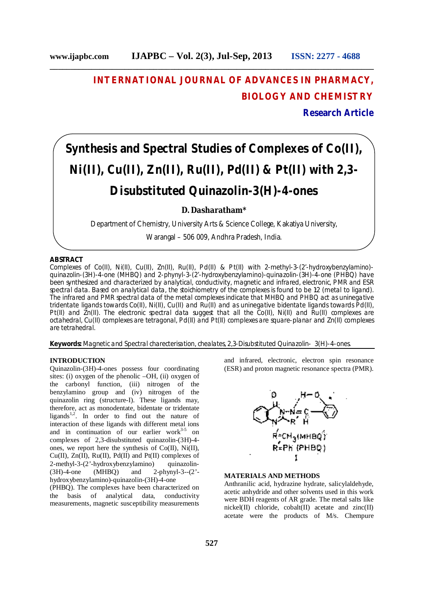**\_\_\_\_\_\_\_\_\_\_\_\_\_\_\_\_\_\_\_\_\_\_\_\_\_\_\_\_\_\_\_\_\_\_\_\_\_\_\_\_\_\_\_\_\_\_\_\_\_\_\_\_\_\_\_\_\_\_\_\_\_\_\_\_\_\_\_\_\_\_\_\_\_\_\_\_\_\_**

# **INTERNATIONAL JOURNAL OF ADVANCES IN PHARMACY, BIOLOGY AND CHEMISTRY**

# **Research Article**

# **Synthesis and Spectral Studies of Complexes of Co(II), Ni(II), Cu(II), Zn(II), Ru(II), Pd(II) & Pt(II) with 2,3- Disubstituted Quinazolin-3(H)-4-ones**

# **D. Dasharatham\***

Department of Chemistry, University Arts & Science College, Kakatiya University,

Warangal – 506 009, Andhra Pradesh, India.

## **ABSTRACT**

Complexes of Co(II), Ni(II), Cu(II), Zn(II), Ru(II), Pd(II) & Pt(II) with 2-methyl-3-(2'-hydroxybenzylamino) quinazolin-(3H)-4-one (MHBQ) and 2-phynyl-3-(2'-hydroxybenzylamino)-quinazolin-(3H)-4-one (PHBQ) have been synthesized and characterized by analytical, conductivity, magnetic and infrared, electronic, PMR and ESR spectral data. Based on analytical data, the stoichiometry of the complexes is found to be 1:2 (metal to ligand). The infrared and PMR spectral data of the metal complexes indicate that MHBQ and PHBQ act as uninegative tridentate ligands towards Co(II), Ni(II), Cu(II) and Ru(II) and as uninegative bidentate ligands towards Pd(II), Pt(II) and Zn(II). The electronic spectral data suggest that all the Co(II), Ni(II) and Ru(II) complexes are octahedral, Cu(II) complexes are tetragonal, Pd(II) and Pt(II) complexes are square-planar and Zn(II) complexes are tetrahedral.

**Keywords:** Magnetic and Spectral charecterisation, chealates, 2,3-Disubstituted Quinazolin- 3(H)-4-ones.

## **INTRODUCTION**

Quinazolin-(3H)-4-ones possess four coordinating sites: (i) oxygen of the phenolic –OH, (ii) oxygen of the carbonyl function, (iii) nitrogen of the benzylamino group and (iv) nitrogen of the quinazolin ring (structure-I). These ligands may, therefore, act as monodentate, bidentate or tridentate ligands<sup>1,2</sup>. In order to find out the nature of interaction of these ligands with different metal ions and in continuation of our earlier work $3-5$  on complexes of 2,3-disubstituted quinazolin-(3H)-4 ones, we report here the synthesis of Co(II), Ni(II), Cu(II),  $\text{Zn(II)}$ , Ru(II), Pd(II) and Pt(II) complexes of 2-methyl-3-(2'-hydroxybenzylamino) quinazolin-<br>(3H)-4-one (MHBO) and 2-phynyl-3--(2'and  $2$ -phynyl-3-- $(2)$ <sup>-</sup>hydroxybenzylamino)-quinazolin-(3H)-4-one

(PHBQ). The complexes have been characterized on the basis of analytical data, conductivity measurements, magnetic susceptibility measurements

and infrared, electronic, electron spin resonance (ESR) and proton magnetic resonance spectra (PMR).



#### **MATERIALS AND METHODS**

Anthranilic acid, hydrazine hydrate, salicylaldehyde, acetic anhydride and other solvents used in this work were BDH reagents of AR grade. The metal salts like nickel(II) chloride, cobalt(II) acetate and zinc(II) acetate were the products of M/s. Chempure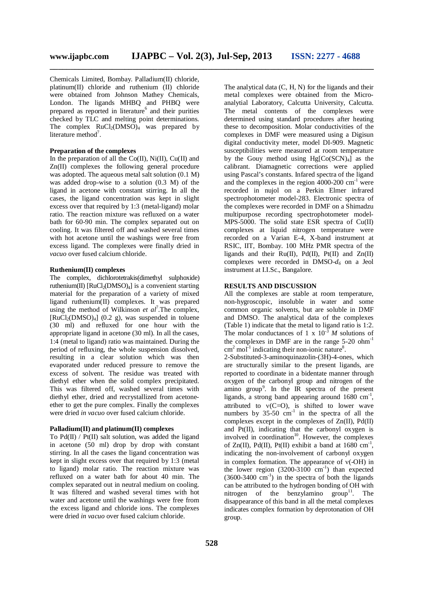**\_\_\_\_\_\_\_\_\_\_\_\_\_\_\_\_\_\_\_\_\_\_\_\_\_\_\_\_\_\_\_\_\_\_\_\_\_\_\_\_\_\_\_\_\_\_\_\_\_\_\_\_\_\_\_\_\_\_\_\_\_\_\_\_\_\_\_\_\_\_\_\_\_\_\_\_\_\_**

Chemicals Limited, Bombay. Palladium(II) chloride, platinum(II) chloride and ruthenium (II) chloride were obtained from Johnson Mathey Chemicals, London. The ligands MHBQ and PHBQ were prepared as reported in literature<sup>6</sup> and their purities checked by TLC and melting point determinations. The complex  $RuCl<sub>2</sub>(DMSO)<sub>4</sub>$  was prepared by literature method<sup>7</sup>.

### **Preparation of the complexes**

In the preparation of all the  $Co(II)$ ,  $Ni(II)$ ,  $Cu(II)$  and Zn(II) complexes the following general procedure was adopted. The aqueous metal salt solution (0.1 M) was added drop-wise to a solution (0.3 M) of the ligand in acetone with constant stirring. In all the cases, the ligand concentration was kept in slight excess over that required by 1:3 (metal-ligand) molar ratio. The reaction mixture was refluxed on a water bath for 60-90 min. The complex separated out on cooling. It was filtered off and washed several times with hot acetone until the washings were free from excess ligand. The complexes were finally dried in *vacuo* over fused calcium chloride.

#### **Ruthenium(II) complexes**

The complex, dichlorotetrakis(dimethyl sulphoxide) ruthenium(II)  $[RuCl_2(DMSO)_4]$  is a convenient starting material for the preparation of a variety of mixed ligand ruthenium(II) complexes. It was prepared using the method of Wilkinson *et al*<sup>7</sup>. The complex,  $[RuCl<sub>2</sub>(DMSO)<sub>4</sub>]$  (0.2 g), was suspended in toluene (30 ml) and refluxed for one hour with the appropriate ligand in acetone (30 ml). In all the cases, 1:4 (metal to ligand) ratio was maintained. During the period of refluxing, the whole suspension dissolved, resulting in a clear solution which was then evaporated under reduced pressure to remove the excess of solvent. The residue was treated with diethyl ether when the solid complex precipitated. This was filtered off, washed several times with diethyl ether, dried and recrystallized from acetoneether to get the pure complex. Finally the complexes were dried *in vacuo* over fused calcium chloride.

#### **Palladium(II) and platinum(II) complexes**

To  $Pd(\Pi)$  /  $Pt(\Pi)$  salt solution, was added the ligand in acetone (50 ml) drop by drop with constant stirring. In all the cases the ligand concentration was kept in slight excess over that required by 1:3 (metal to ligand) molar ratio. The reaction mixture was refluxed on a water bath for about 40 min. The complex separated out in neutral medium on cooling. It was filtered and washed several times with hot water and acetone until the washings were free from the excess ligand and chloride ions. The complexes were dried *in vacuo* over fused calcium chloride.

The analytical data  $(C, H, N)$  for the ligands and their metal complexes were obtained from the Microanalytial Laboratory, Calcutta University, Calcutta. The metal contents of the complexes were determined using standard procedures after heating these to decomposition. Molar conductivities of the complexes in DMF were measured using a Digisun digital conductivity meter, model DI-909. Magnetic susceptibilities were measured at room temperature by the Gouy method using  $Hg[Co(SCN)<sub>4</sub>]$  as the calibrant. Diamagnetic corrections were applied using Pascal's constants. Infared spectra of the ligand and the complexes in the region  $4000-200$  cm<sup>-1</sup> were recorded in nujol on a Perkin Elmer infrared spectrophotometer model-283. Electronic spectra of the complexes were recorded in DMF on a Shimadzu multipurpose recording spectrophotometer model-MPS-5000. The solid state ESR spectra of Cu(II) complexes at liquid nitrogen temperature were recorded on a Varian E-4, X-band instrument at RSIC, IIT, Bombay. 100 MHz PMR spectra of the ligands and their  $Ru(II)$ ,  $Pd(II)$ ,  $Pt(II)$  and  $Zn(II)$ complexes were recorded in DMSO-*d<sup>6</sup>* on a Jeol instrument at I.I.Sc., Bangalore.

## **RESULTS AND DISCUSSION**

All the complexes are stable at room temperature, non-hygroscopic, insoluble in water and some common organic solvents, but are soluble in DMF and DMSO. The analytical data of the complexes (Table 1) indicate that the metal to ligand ratio is 1:2. The molar conductances of 1 x  $10^{-3}$  *M* solutions of the complexes in DMF are in the range  $5-20$  ohm<sup>-1</sup>  $\text{cm}^2$  mol<sup>-1</sup> indicating their non-ionic nature<sup>8</sup>.

2-Substituted-3-aminoquinazolin-(3H)-4-ones, which are structurally similar to the present ligands, are reported to coordinate in a bidentate manner through oxygen of the carbonyl group and nitrogen of the amino group<sup>9</sup>. In the IR spectra of the present ligands, a strong band appearing around  $1680 \text{ cm}^{-1}$ , attributed to  $v(C=O)$ , is shifted to lower wave numbers by  $35-50$  cm<sup>-1</sup> in the spectra of all the complexes except in the complexes of Zn(II), Pd(II) and Pt(II), indicating that the carbonyl oxygen is involved in coordination $10$ . However, the complexes of Zn(II), Pd(II), Pt(II) exhibit a band at  $1680 \text{ cm}^{-1}$ , indicating the non-involvement of carbonyl oxygen in complex formation. The appearance of  $v$ (-OH) in the lower region  $(3200-3100 \text{ cm}^{-1})$  than expected  $(3600-3400 \text{ cm}^{-1})$  in the spectra of both the ligands can be attributed to the hydrogen bonding of OH with nitrogen of the benzylamino group<sup>11</sup>. The disappearance of this band in all the metal complexes indicates complex formation by deprotonation of OH group.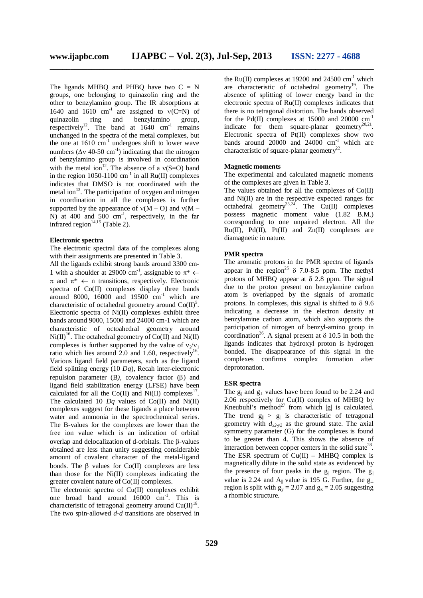The ligands MHBQ and PHBQ have two  $C = N$ groups, one belonging to quinazolin ring and the other to benzylamino group. The IR absorptions at 1640 and 1610  $cm^{-1}$  are assigned to  $v(C=N)$  of quinazolin ring and benzylamino group, respectively<sup>12</sup>. The band at  $1640 \text{ cm}^{-1}$  remains unchanged in the spectra of the metal complexes, but the one at  $1610 \text{ cm}^{-1}$  undergoes shift to lower wave numbers ( $\Delta v$  40-50 cm<sup>-1</sup>) indicating that the nitrogen of benzylamino group is involved in coordination with the metal ion<sup>12</sup>. The absence of a  $v(S=O)$  band in the region  $1050-1100$  cm<sup>-1</sup> in all  $Ru(II)$  complexes indicates that DMSO is not coordinated with the metal ion<sup>13</sup>. The participation of oxygen and nitrogen in coordination in all the complexes is further supported by the appearance of  $v(M - O)$  and  $v(M - O)$ N) at 400 and  $500 \text{ cm}^{-1}$ , respectively, in the far infrared region $14,15$  (Table 2).

#### **Electronic spectra**

The electronic spectral data of the complexes along with their assignments are presented in Table 3.

All the ligands exhibit strong bands around 3300 cm-1 with a shoulder at 29000 cm<sup>-1</sup>, assignable to  $\pi^* \leftarrow$  $\pi$  and  $\pi^* \leftarrow$  n transitions, respectively. Electronic spectra of Co(II) complexes display three bands around 8000, 16000 and 19500  $cm<sup>-1</sup>$  which are characteristic of octahedral geometry around  $Co(II)^5$ . Electronic spectra of Ni(II) complexes exhibit three bands around 9000, 15000 and 24000 cm-1 which are characteristic of octoahedral geometry around  $Ni(II)^{16}$ . The octahedral geometry of Co(II) and Ni(II) complexes is further supported by the value of  $v_2/v_1$ ratio which lies around  $2.0$  and 1.60, respectively<sup>16</sup>. Various ligand field parameters, such as the ligand field splitting energy (10 *Dq*), Recah inter-electronic repulsion parameter (B), covalency factor (B) and ligand field stabilization energy (LFSE) have been calculated for all the  $Co(II)$  and Ni(II) complexes<sup>17</sup>. The calculated 10 *Dq* values of Co(II) and Ni(II) complexes suggest for these ligands a place between water and ammonia in the spectrochemical series. The B-values for the complexes are lower than the free ion value which is an indication of orbital overlap and delocalization of d-orbitals. The  $\beta$ -values obtained are less than unity suggesting considerable amount of covalent character of the metal-ligand bonds. The  $\beta$  values for Co(II) complexes are less than those for the Ni(II) complexes indicating the greater covalent nature of Co(II) complexes.

The electronic spectra of Cu(II) complexes exhibit one broad band around 16000 cm<sup>-1</sup>. This is characteristic of tetragonal geometry around  $Cu(II)^{18}$ . The two spin-allowed *d-d* transitions are observed in the Ru(II) complexes at 19200 and 24500  $cm^{-1}$  which are characteristic of octahedral geometry<sup>19</sup>. The absence of splitting of lower energy band in the electronic spectra of Ru(II) complexes indicates that there is no tetragonal distortion. The bands observed for the Pd(II) complexes at 15000 and 20000  $cm^{-1}$ indicate for them square-planar geometry<sup>20,21</sup>. Electronic spectra of Pt(II) complexes show two bands around 20000 and  $24000 \text{ cm}^{-1}$  which are characteristic of square-planar geometry<sup>22</sup>.

## **Magnetic moments**

The experimental and calculated magnetic moments of the complexes are given in Table 3.

The values obtained for all the complexes of Co(II) and Ni(II) are in the respective expected ranges for octahedral geometry<sup>23,24</sup>. The  $Cu(II)$  complexes possess magnetic moment value (1.82 B.M.) corresponding to one unpaired electron. All the  $Ru(II)$ ,  $Pd(II)$ ,  $Pt(II)$  and  $Zn(II)$  complexes are diamagnetic in nature.

## **PMR spectra**

The aromatic protons in the PMR spectra of ligands appear in the region<sup>25</sup>  $\delta$  7.0-8.5 ppm. The methyl protons of MHBO appear at  $\delta$  2.8 ppm. The signal due to the proton present on benzylamine carbon atom is overlapped by the signals of aromatic protons. In complexes, this signal is shifted to  $\delta$  9.6 indicating a decrease in the electron density at benzylamine carbon atom, which also supports the participation of nitrogen of benzyl-amino group in coordination<sup>26</sup>. A signal present at  $\delta$  10.5 in both the ligands indicates that hydroxyl proton is hydrogen bonded. The disappearance of this signal in the complexes confirms complex formation after deprotonation.

#### **ESR spectra**

The  $g_{\parallel}$  and  $g_{\perp}$  values have been found to be 2.24 and 2.06 respectively for Cu(II) complex of MHBQ by Kneubuhl's method<sup>27</sup> from which  $|g|$  is calculated. The trend  $g_{\parallel} > g_{\parallel}$  is characteristic of tetragonal geometry with  $d_{x2-y2}$  as the ground state. The axial symmetry parameter (G) for the complexes is found to be greater than 4. This shows the absence of interaction between copper centers in the solid state<sup>28</sup>. The ESR spectrum of  $Cu(II) - MHBQ$  complex is magnetically dilute in the solid state as evidenced by the presence of four peaks in the  $g_{\parallel}$  region. The  $g_{\parallel}$ value is 2.24 and  $A_{\parallel}$  value is 195 G. Further, the g<sub>|</sub> region is split with  $g_y = 2.07$  and  $g_x = 2.05$  suggesting a rhombic structure.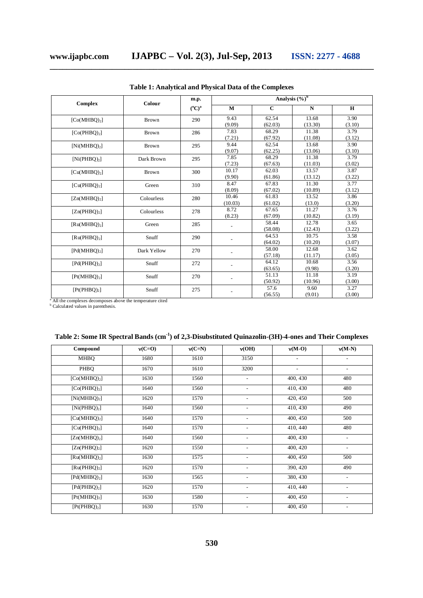| Complex                  | Colour       | m.p.              | Analysis $(\frac{6}{6})^b$ |                  |                  |                |  |
|--------------------------|--------------|-------------------|----------------------------|------------------|------------------|----------------|--|
|                          |              | $(^{\circ}C)^{a}$ | M                          | $\mathbf C$      | N                | H              |  |
| [Co(MHBQ) <sub>2</sub> ] | <b>Brown</b> | 290               | 9.43<br>(9.09)             | 62.54<br>(62.03) | 13.68<br>(13.30) | 3.90<br>(3.10) |  |
| [Co(PHBQ) <sub>2</sub> ] | Brown        | 286               | 7.83<br>(7.21)             | 68.29<br>(67.92) | 11.38<br>(11.08) | 3.79<br>(3.12) |  |
| $[Ni(MHBQ)_2]$           | <b>Brown</b> | 295               | 9.44<br>(9.07)             | 62.54<br>(62.25) | 13.68<br>(13.06) | 3.90<br>(3.10) |  |
| [Ni(PHBQ) <sub>2</sub> ] | Dark Brown   | 295               | 7.85<br>(7.23)             | 68.29<br>(67.63) | 11.38<br>(11.03) | 3.79<br>(3.02) |  |
| [Cu(MHBQ) <sub>2</sub> ] | Brown        | 300               | 10.17<br>(9.90)            | 62.03<br>(61.86) | 13.57<br>(13.12) | 3.87<br>(3.22) |  |
| [Cu(PHBQ) <sub>2</sub> ] | Green        | 310               | 8.47<br>(8.09)             | 67.83<br>(67.02) | 11.30<br>(10.89) | 3.77<br>(3.12) |  |
| [Zn(MHBO) <sub>2</sub> ] | Colourless   | 280               | 10.46<br>(10.03)           | 61.83<br>(61.02) | 13.52<br>(13.0)  | 3.86<br>(3.20) |  |
| [Zn(PHBQ) <sub>2</sub> ] | Colourless   | 278               | 8.72<br>(8.23)             | 67.65<br>(67.09) | 11.27<br>(10.82) | 3.76<br>(3.19) |  |
| [Ru(MHBQ) <sub>2</sub> ] | Green        | 285               |                            | 58.44<br>(58.08) | 12.78<br>(12.43) | 3.65<br>(3.22) |  |
| [Ru(PHBQ) <sub>2</sub> ] | Snuff        | 290               |                            | 64.53<br>(64.02) | 10.75<br>(10.20) | 3.58<br>(3.07) |  |
| [Pd(MHBQ) <sub>2</sub> ] | Dark Yellow  | 270               |                            | 58.00<br>(57.18) | 12.68<br>(11.17) | 3.62<br>(3.05) |  |
| [Pd(PHBO),]              | Snuff        | 272               |                            | 64.12<br>(63.65) | 10.68<br>(9.98)  | 3.56<br>(3.20) |  |
| [Pt(MHBQ) <sub>2</sub> ] | Snuff        | 270               |                            | 51.13<br>(50.92) | 11.18<br>(10.96) | 3.19<br>(3.00) |  |
| [Pt(PHBO) <sub>2</sub> ] | Snuff        | 275               |                            | 57.6<br>(56.55)  | 9.60<br>(9.01)   | 3.27<br>(3.00) |  |

**Table 1: Analytical and Physical Data of the Complexes**

**\_\_\_\_\_\_\_\_\_\_\_\_\_\_\_\_\_\_\_\_\_\_\_\_\_\_\_\_\_\_\_\_\_\_\_\_\_\_\_\_\_\_\_\_\_\_\_\_\_\_\_\_\_\_\_\_\_\_\_\_\_\_\_\_\_\_\_\_\_\_\_\_\_\_\_\_\_\_**

<sup>a</sup> All the complexes decomposes above the temperature cited b Calculated values in parenthesis.

| Compound                           | $v(C=0)$ | $v(C=N)$ | v(OH)                    | $v(M-O)$                 | $v(M-N)$                 |
|------------------------------------|----------|----------|--------------------------|--------------------------|--------------------------|
| <b>MHBQ</b>                        | 1680     | 1610     | 3150                     |                          |                          |
| PHBO                               | 1670     | 1610     | 3200                     | $\overline{\phantom{a}}$ | $\overline{\phantom{0}}$ |
| [Co(MHBQ) <sub>2</sub> ]           | 1630     | 1560     | $\overline{a}$           | 400, 430                 | 480                      |
| [Co(PHBQ) <sub>2</sub> ]           | 1640     | 1560     | $\overline{\phantom{a}}$ | 410, 430                 | 480                      |
| $[Ni(MHBQ)_2]$                     | 1620     | 1570     | $\overline{\phantom{a}}$ | 420, 450                 | 500                      |
| [Ni(PHBQ) <sub>2</sub> ]           | 1640     | 1560     |                          | 410, 430                 | 490                      |
| [Cu(MHBQ) <sub>2</sub> ]           | 1640     | 1570     |                          | 400, 450                 | 500                      |
| [Cu(PHBQ) <sub>2</sub> ]           | 1640     | 1570     |                          | 410, 440                 | 480                      |
| $[Zn(MHBQ)_2]$                     | 1640     | 1560     |                          | 400, 430                 | $\overline{\phantom{a}}$ |
| [Zn(PHBQ) <sub>2</sub> ]           | 1620     | 1550     | $\overline{\phantom{a}}$ | 400, 420                 | $\overline{\phantom{a}}$ |
| $\left[\text{Ru(MHBQ)}_{2}\right]$ | 1630     | 1575     | $\overline{a}$           | 400, 450                 | 500                      |
| [Ru(PHBQ) <sub>2</sub> ]           | 1620     | 1570     |                          | 390, 420                 | 490                      |
| [Pd(MHBQ) <sub>2</sub> ]           | 1630     | 1565     |                          | 380, 430                 | $\overline{\phantom{a}}$ |
| [Pd(PHBQ) <sub>2</sub> ]           | 1620     | 1570     | $\overline{a}$           | 410, 440                 | $\overline{\phantom{0}}$ |
| [Pt(MHBQ) <sub>2</sub> ]           | 1630     | 1580     |                          | 400, 450                 | $\overline{a}$           |
| [Pt(PHBQ) <sub>2</sub> ]           | 1630     | 1570     | $\overline{\phantom{a}}$ | 400, 450                 | $\overline{\phantom{a}}$ |

|  |  | Table 2: Some IR Spectral Bands (cm <sup>-1</sup> ) of 2,3-Disubstituted Quinazolin-(3H)-4-ones and Their Complexes |
|--|--|---------------------------------------------------------------------------------------------------------------------|
|  |  |                                                                                                                     |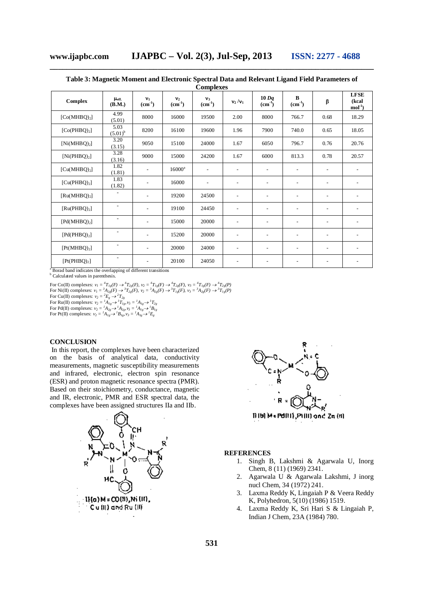| <b>Complexes</b>         |                            |                          |                            |                             |                          |                          |                          |                          |                                 |
|--------------------------|----------------------------|--------------------------|----------------------------|-----------------------------|--------------------------|--------------------------|--------------------------|--------------------------|---------------------------------|
| Complex                  | $\mu_{\rm eff.}$<br>(B.M.) | $v_1$<br>$(cm-1)$        | $\mathbf{v}_2$<br>$(cm-1)$ | $v_3$<br>$\text{(cm}^{-1})$ | $v_2/v_1$                | $10\,Dq$<br>$(cm^{-1})$  | B<br>$(cm-1)$            | β                        | <b>LFSE</b><br>(kcal<br>$mol-1$ |
| [Co(MHBQ) <sub>2</sub> ] | 4.99<br>(5.01)             | 8000                     | 16000                      | 19500                       | 2.00                     | 8000                     | 766.7                    | 0.68                     | 18.29                           |
| [Co(PHBQ) <sub>2</sub> ] | 5.03<br>$(5.01)^{b}$       | 8200                     | 16100                      | 19600                       | 1.96                     | 7900                     | 740.0                    | 0.65                     | 18.05                           |
| $[Ni(MHBQ)_2]$           | 3.20<br>(3.15)             | 9050                     | 15100                      | 24000                       | 1.67                     | 6050                     | 796.7                    | 0.76                     | 20.76                           |
| [Ni(PHBQ) <sub>2</sub> ] | 3.28<br>(3.16)             | 9000                     | 15000                      | 24200                       | 1.67                     | 6000                     | 813.3                    | 0.78                     | 20.57                           |
| [Cu(MHBQ) <sub>2</sub> ] | 1.82<br>(1.81)             |                          | $16000^a$                  | $\overline{\phantom{a}}$    | $\overline{\phantom{a}}$ | $\overline{\phantom{a}}$ |                          | $\overline{\phantom{a}}$ |                                 |
| [Cu(PHBQ) <sub>2</sub> ] | 1.83<br>(1.82)             | $\overline{a}$           | 16000                      | $\overline{\phantom{a}}$    | $\overline{\phantom{a}}$ | $\overline{a}$           | $\overline{\phantom{a}}$ | $\overline{\phantom{a}}$ | $\overline{\phantom{0}}$        |
| [Ru(MHBQ) <sub>2</sub> ] | $\overline{\phantom{a}}$   | $\overline{\phantom{a}}$ | 19200                      | 24500                       | $\overline{\phantom{a}}$ | $\overline{\phantom{a}}$ | $\overline{\phantom{a}}$ | $\overline{\phantom{a}}$ | $\overline{a}$                  |
| [Ru(PHBQ) <sub>2</sub> ] | $\overline{\phantom{a}}$   | $\overline{a}$           | 19100                      | 24450                       | $\overline{\phantom{a}}$ | $\overline{\phantom{a}}$ |                          |                          |                                 |
| [Pd(MHBQ) <sub>2</sub> ] | $\overline{\phantom{0}}$   | $\overline{\phantom{a}}$ | 15000                      | 20000                       | $\overline{\phantom{a}}$ | $\overline{a}$           | $\overline{\phantom{a}}$ | $\overline{\phantom{a}}$ | $\qquad \qquad -$               |
| [Pd(PHBQ) <sub>2</sub> ] | $\overline{\phantom{a}}$   | $\overline{\phantom{a}}$ | 15200                      | 20000                       | $\overline{\phantom{a}}$ | $\overline{\phantom{a}}$ | $\overline{\phantom{a}}$ | $\overline{\phantom{0}}$ | $\overline{a}$                  |
| [Pt(MHBQ) <sub>2</sub> ] | $\overline{\phantom{a}}$   | $\overline{a}$           | 20000                      | 24000                       | $\overline{\phantom{a}}$ | $\overline{\phantom{a}}$ | $\overline{\phantom{a}}$ | $\overline{\phantom{a}}$ |                                 |
| [Pt(PHBQ) <sub>2</sub> ] | $\overline{\phantom{a}}$   | $\overline{\phantom{a}}$ | 20100                      | 24050                       | $\overline{\phantom{a}}$ | $\overline{\phantom{a}}$ | $\overline{\phantom{a}}$ |                          |                                 |

**\_\_\_\_\_\_\_\_\_\_\_\_\_\_\_\_\_\_\_\_\_\_\_\_\_\_\_\_\_\_\_\_\_\_\_\_\_\_\_\_\_\_\_\_\_\_\_\_\_\_\_\_\_\_\_\_\_\_\_\_\_\_\_\_\_\_\_\_\_\_\_\_\_\_\_\_\_\_ Table 3: Magnetic Moment and Electronic Spectral Data and Relevant Ligand Field Parameters of** 

<sup>a</sup> Borad band indicates the overlapping of different transitions

<sup>b</sup> Calculated values in parenthesis.

For Co(II) complexes:  $v_1 = {}^4T_{1g}(F) \rightarrow {}^4T_{2g}(F)$ ,  $v_2 = {}^4T_{1g}(F) \rightarrow {}^4T_{2g}(F)$ ,  $v_3 = {}^4T_{1g}(F) \rightarrow {}^4T_{2g}(P)$ For Ni(II) complexes:  $v_1 = {}^3A_{2g}(F) \rightarrow {}^3T_{2g}(F)$ ,  $v_2 = {}^3A_{2g}(F) \rightarrow {}^3T_{1g}(F)$ ,  $v_3 = {}^3A_{2g}(F) \rightarrow {}^3T_{1g}(P)$ For Cu(II) complexes:  $v_2 = {}^2E_g \rightarrow {}^2T_{2g}$ For Ru(II) complexes:  $v_2 = {}^l A_{lg} \rightarrow {}^l T_{lg}, v_3 = {}^l A_{lg} \rightarrow {}^l T_{2g}$ For Pd(II) complexes:  $v_2 = {}^I A_{2g} \rightarrow {}^I A_{2g}, v_3 = {}^I A_{1g} \rightarrow {}^I B_{1g}$ 

For Pt(II) complexes:  $v_2 = {}^l A_{lg} \rightarrow {}^l B_{lg}, v_3 = {}^l A_{lg} \rightarrow {}^l E_g$ 

# **CONCLUSION**

In this report, the complexes have been characterized on the basis of analytical data, conductivity measurements, magnetic susceptibility measurements and infrared, electronic, electron spin resonance (ESR) and proton magnetic resonance spectra (PMR). Based on their stoichiometry, conductance, magnetic and IR, electronic, PMR and ESR spectral data, the complexes have been assigned structures IIa and IIb.





# **REFERENCES**

- 1. Singh B, Lakshmi & Agarwala U, Inorg Chem, 8 (11) (1969) 2341.
- 2. Agarwala U & Agarwala Lakshmi, J inorg nucl Chem, 34 (1972) 241.
- 3. Laxma Reddy K, Lingaiah P & Veera Reddy K, Polyhedron, 5(10) (1986) 1519.
- 4. Laxma Reddy K, Sri Hari S & Lingaiah P, Indian J Chem, 23A (1984) 780.